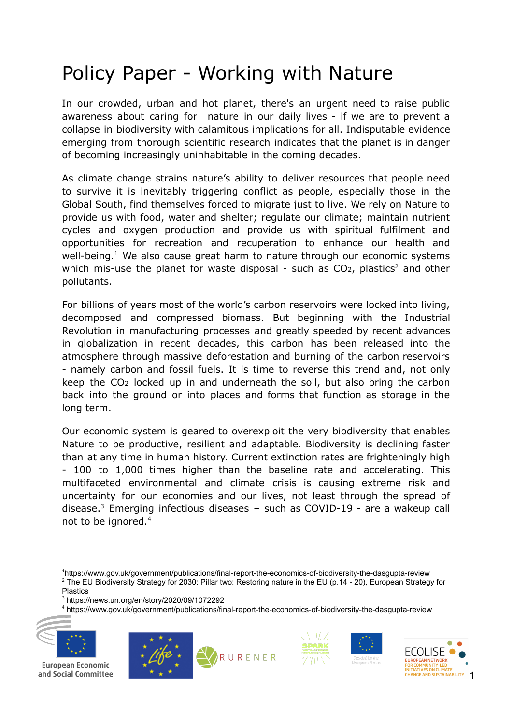# Policy Paper - Working with Nature

In our crowded, urban and hot planet, there's an urgent need to raise public awareness about caring for nature in our daily lives - if we are to prevent a collapse in biodiversity with calamitous implications for all. Indisputable evidence emerging from thorough scientific research indicates that the planet is in danger of becoming increasingly uninhabitable in the coming decades.

As climate change strains nature's ability to deliver resources that people need to survive it is inevitably triggering conflict as people, especially those in the Global South, find themselves forced to migrate just to live. We rely on Nature to provide us with food, water and shelter; regulate our climate; maintain nutrient cycles and oxygen production and provide us with spiritual fulfilment and opportunities for recreation and recuperation to enhance our health and well-being. $<sup>1</sup>$  We also cause great harm to nature through our economic systems</sup> which mis-use the planet for waste disposal - such as  $CO<sub>2</sub>$ , plastics<sup>2</sup> and other pollutants.

For billions of years most of the world's carbon reservoirs were locked into living, decomposed and compressed biomass. But beginning with the Industrial Revolution in manufacturing processes and greatly speeded by recent advances in globalization in recent decades, this carbon has been released into the atmosphere through massive deforestation and burning of the carbon reservoirs - namely carbon and fossil fuels. It is time to reverse this trend and, not only keep the CO<sup>2</sup> locked up in and underneath the soil, but also bring the carbon back into the ground or into places and forms that function as storage in the long term.

Our economic system is geared to overexploit the very biodiversity that enables Nature to be productive, resilient and adaptable. Biodiversity is declining faster than at any time in human history. Current extinction rates are frighteningly high - 100 to 1,000 times higher than the baseline rate and accelerating. This multifaceted environmental and climate crisis is causing extreme risk and uncertainty for our economies and our lives, not least through the spread of disease.<sup>3</sup> Emerging infectious diseases  $-$  such as COVID-19 - are a wakeup call not to be ignored. 4

<sup>3</sup> https://news.un.org/en/story/2020/09/1072292

<sup>4</sup> https://www.gov.uk/government/publications/final-report-the-economics-of-biodiversity-the-dasgupta-review











<sup>&</sup>lt;sup>2</sup> The EU Biodiversity Strategy for 2030: Pillar two: Restoring nature in the EU (p.14 - 20), European Strategy for <sup>1</sup>https://www.gov.uk/government/publications/final-report-the-economics-of-biodiversity-the-dasgupta-review

Plastics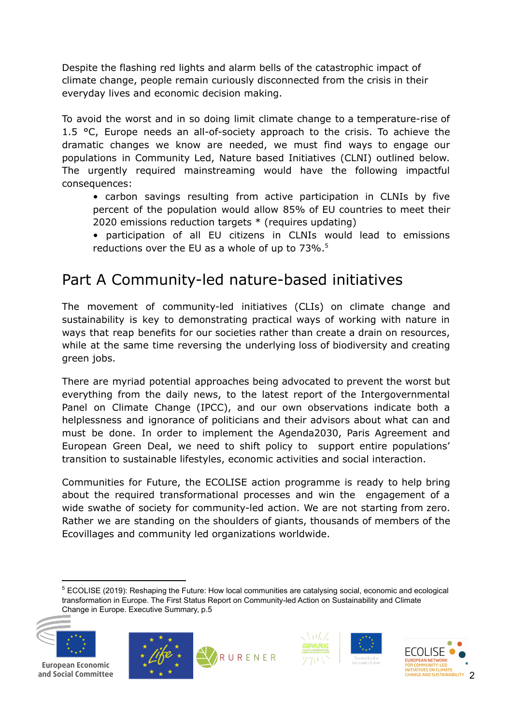Despite the flashing red lights and alarm bells of the catastrophic impact of climate change, people remain curiously disconnected from the crisis in their everyday lives and economic decision making.

To avoid the worst and in so doing limit climate change to a temperature-rise of 1.5 °C, Europe needs an all-of-society approach to the crisis. To achieve the dramatic changes we know are needed, we must find ways to engage our populations in Community Led, Nature based Initiatives (CLNI) outlined below. The urgently required mainstreaming would have the following impactful consequences:

- carbon savings resulting from active participation in CLNIs by five percent of the population would allow 85% of EU countries to meet their 2020 emissions reduction targets \* (requires updating)
- participation of all EU citizens in CLNIs would lead to emissions reductions over the EU as a whole of up to 73%. 5

# Part A Community-led nature-based initiatives

The movement of community-led initiatives (CLIs) on climate change and sustainability is key to demonstrating practical ways of working with nature in ways that reap benefits for our societies rather than create a drain on resources, while at the same time reversing the underlying loss of biodiversity and creating green jobs.

There are myriad potential approaches being advocated to prevent the worst but everything from the daily news, to the latest report of the Intergovernmental Panel on Climate Change (IPCC), and our own observations indicate both a helplessness and ignorance of politicians and their advisors about what can and must be done. In order to implement the Agenda2030, Paris Agreement and European Green Deal, we need to shift policy to support entire populations' transition to sustainable lifestyles, economic activities and social interaction.

Communities for Future, the ECOLISE action programme is ready to help bring about the required transformational processes and win the engagement of a wide swathe of society for community-led action. We are not starting from zero. Rather we are standing on the shoulders of giants, thousands of members of the Ecovillages and community led organizations worldwide.

<sup>5</sup> ECOLISE (2019): Reshaping the Future: How local communities are catalysing social, economic and ecological transformation in Europe. The First Status Report on Community-led Action on Sustainability and Climate Change in Europe. Executive Summary, p.5



**European Economic** and Social Committee







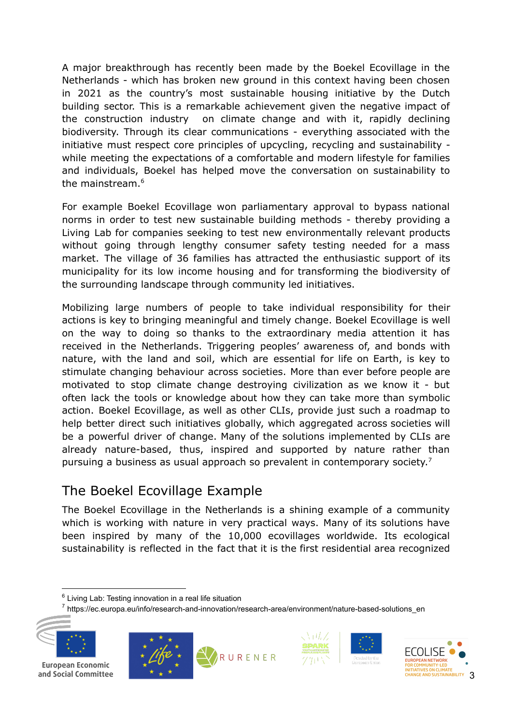A major breakthrough has recently been made by the Boekel Ecovillage in the Netherlands - which has broken new ground in this context having been chosen in 2021 as the country's most sustainable housing initiative by the Dutch building sector. This is a remarkable achievement given the negative impact of the construction industry on climate change and with it, rapidly declining biodiversity. Through its clear communications - everything associated with the initiative must respect core principles of upcycling, recycling and sustainability while meeting the expectations of a comfortable and modern lifestyle for families and individuals, Boekel has helped move the conversation on sustainability to the mainstream. 6

For example Boekel Ecovillage won parliamentary approval to bypass national norms in order to test new sustainable building methods - thereby providing a Living Lab for companies seeking to test new environmentally relevant products without going through lengthy consumer safety testing needed for a mass market. The village of 36 families has attracted the enthusiastic support of its municipality for its low income housing and for transforming the biodiversity of the surrounding landscape through community led initiatives.

Mobilizing large numbers of people to take individual responsibility for their actions is key to bringing meaningful and timely change. Boekel Ecovillage is well on the way to doing so thanks to the extraordinary media attention it has received in the Netherlands. Triggering peoples' awareness of, and bonds with nature, with the land and soil, which are essential for life on Earth, is key to stimulate changing behaviour across societies. More than ever before people are motivated to stop climate change destroying civilization as we know it - but often lack the tools or knowledge about how they can take more than symbolic action. Boekel Ecovillage, as well as other CLIs, provide just such a roadmap to help better direct such initiatives globally, which aggregated across societies will be a powerful driver of change. Many of the solutions implemented by CLIs are already nature-based, thus, inspired and supported by nature rather than pursuing a business as usual approach so prevalent in contemporary society.<sup>7</sup>

# The Boekel Ecovillage Example

The Boekel [Ecovillage](https://earthmind.org/vca/ecovillage-boekel) in the Netherlands is a shining example of a community which is working with nature in very practical ways. Many of its solutions have been inspired by many of the 10,000 ecovillages worldwide. Its ecological sustainability is reflected in the fact that it is the first residential area recognized

<sup>7</sup> https://ec.europa.eu/info/research-and-innovation/research-area/environment/nature-based-solutions\_en











 $6$  Living Lab: Testing innovation in a real life situation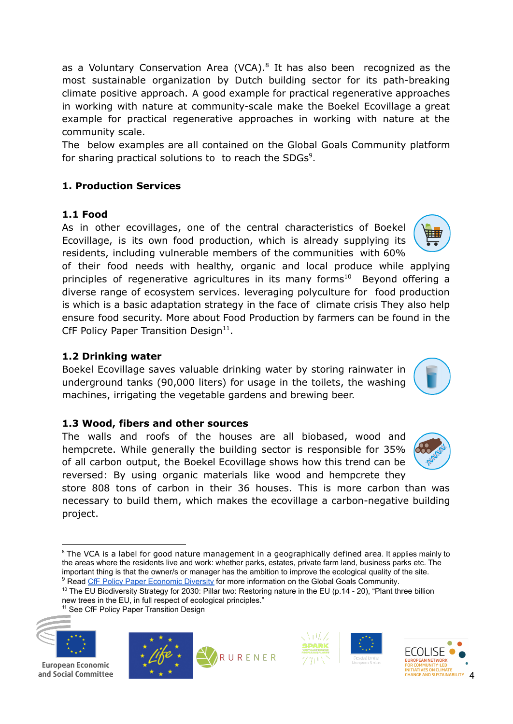as a Voluntary Conservation Area (VCA). $8$  It has also been recognized as the most sustainable organization by Dutch building sector for its path-breaking climate positive approach. A good example for practical regenerative approaches in working with nature at community-scale make the Boekel Ecovillage a great example for practical regenerative approaches in working with nature at the community scale.

The below examples are all contained on the Global Goals Community platform for sharing practical solutions to to reach the SDGs<sup>9</sup>.

### **1. Production Services**

### **1.1 Food**

As in other ecovillages, one of the central characteristics of Boekel Ecovillage, is its own food production, which is already supplying its residents, including vulnerable members of the communities with 60%

of their food needs with healthy, organic and local produce while applying principles of regenerative agricultures in its many forms<sup>10</sup> Beyond offering a diverse range of ecosystem services. leveraging polyculture for food production is which is a basic adaptation strategy in the face of climate crisis They also help ensure food security. More about Food Production by farmers can be found in the CfF Policy Paper Transition Design $^{11}$ .

### **1.2 Drinking water**

Boekel Ecovillage saves valuable drinking water by storing rainwater in underground tanks (90,000 liters) for usage in the toilets, the washing machines, irrigating the vegetable gardens and brewing beer.

#### **1.3 Wood, fibers and other sources**

The walls and roofs of the houses are all biobased, wood and hempcrete. While generally the building sector is responsible for 35% of all carbon output, the Boekel Ecovillage shows how this trend can be reversed: By using organic materials like wood and hempcrete they

store 808 tons of carbon in their 36 houses. This is more carbon than was necessary to build them, which makes the ecovillage a carbon-negative building project.

<sup>10</sup> The EU Biodiversity Strategy for 2030: Pillar two: Restoring nature in the EU (p.14 - 20), "Plant three billion new trees in the EU, in full respect of ecological principles."

<sup>&</sup>lt;sup>11</sup> See [CfF Policy Paper Transition Design](https://drive.google.com/file/d/1NVRQn4p7pw6VwPlkqpfJw7EWXz0BLXwE/view)



**European Economic** and Social Committee











亜麻



<sup>&</sup>lt;sup>9</sup> Read [CfF Policy Paper Economic Diversity](https://docs.google.com/document/d/1KLBVzsCMG4JkedKFEjedbzvFOLCiyPs2iVsLhTHdfLQ/edit) for more information on the Global Goals Community. <sup>8</sup> The VCA is a label for good nature management in a geographically defined area. It applies mainly to the areas where the residents live and work: whether parks, estates, private farm land, business parks etc. The important thing is that the owner/s or manager has the ambition to improve the ecological quality of the site.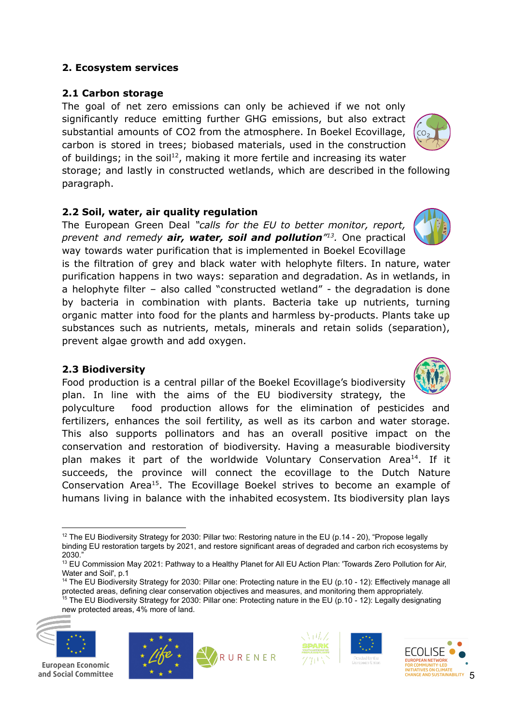#### **2. Ecosystem services**

#### **2.1 Carbon storage**

The goal of net zero emissions can only be achieved if we not only significantly reduce emitting further GHG emissions, but also extract substantial amounts of CO2 from the atmosphere. In Boekel Ecovillage, carbon is stored in trees; biobased materials, used in the construction of buildings; in the soil<sup>12</sup>, making it more fertile and increasing its water

storage; and lastly in constructed wetlands, which are described in the following paragraph.

#### **2.2 Soil, water, air quality regulation**

The European Green Deal *"calls for the EU to better monitor, report,* prevent and remedy **air, water, soil and pollution**<sup> $n_1$ 3</sup>. One practical way towards water purification that is implemented in Boekel Ecovillage

is the filtration of grey and black water with helophyte filters. In nature, water purification happens in two ways: separation and degradation. As in wetlands, in a helophyte filter – also called "constructed wetland" - the degradation is done by bacteria in combination with plants. Bacteria take up nutrients, turning organic matter into food for the plants and harmless by-products. Plants take up substances such as nutrients, metals, minerals and retain solids (separation), prevent algae growth and add oxygen.

#### **2.3 Biodiversity**

Food production is a central pillar of the Boekel Ecovillage's biodiversity plan. In line with the aims of the EU biodiversity strategy, the

polyculture food production allows for the elimination of pesticides and fertilizers, enhances the soil fertility, as well as its carbon and water storage. This also supports pollinators and has an overall positive impact on the conservation and restoration of biodiversity. Having a measurable biodiversity plan makes it part of the worldwide Voluntary Conservation Area<sup>14</sup>. If it succeeds, the province will connect the ecovillage to the Dutch Nature Conservation Area<sup>15</sup>. The Ecovillage Boekel strives to become an example of humans living in balance with the inhabited ecosystem. Its biodiversity plan lays

<sup>15</sup> The EU Biodiversity Strategy for 2030: Pillar one: Protecting nature in the EU (p.10 - 12): Legally designating <sup>14</sup> The EU Biodiversity Strategy for 2030: Pillar one: Protecting nature in the EU (p.10 - 12): Effectively manage all protected areas, defining clear conservation objectives and measures, and monitoring them appropriately.

new protected areas, 4% more of land.















<sup>&</sup>lt;sup>12</sup> The EU Biodiversity Strategy for 2030: Pillar two: Restoring nature in the EU (p.14 - 20), "Propose legally binding EU restoration targets by 2021, and restore significant areas of degraded and carbon rich ecosystems by 2030."

<sup>&</sup>lt;sup>13</sup> EU Commission May 2021: Pathway to a Healthy Planet for All EU Action Plan: 'Towards Zero Pollution for Air, Water and Soil', p.1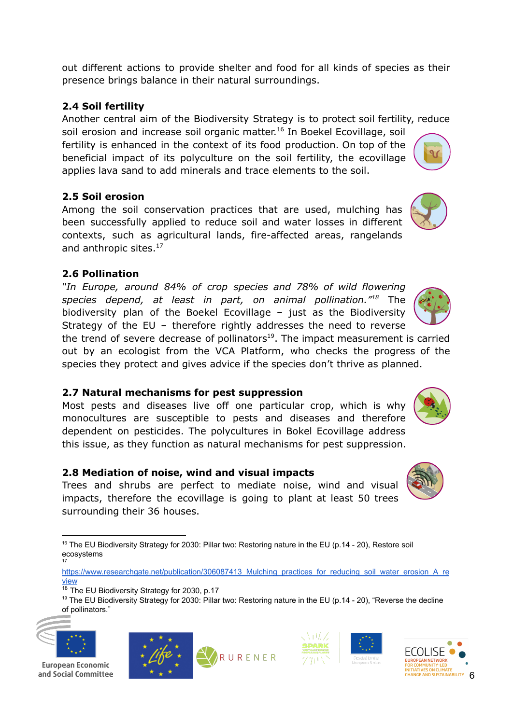out different actions to provide shelter and food for all kinds of species as their presence brings balance in their natural surroundings.

# **2.4 Soil fertility**

Another central aim of the Biodiversity Strategy is to protect soil fertility, reduce soil erosion and increase soil organic matter.<sup>16</sup> In Boekel Ecovillage, soil fertility is enhanced in the context of its food production. On top of the beneficial impact of its polyculture on the soil fertility, the ecovillage applies lava sand to add minerals and trace elements to the soil.

# **2.5 Soil erosion**

Among the soil conservation practices that are used, mulching has been successfully applied to reduce soil and water losses in different contexts, such as agricultural lands, fire-affected areas, rangelands and anthropic sites.<sup>17</sup>

# **2.6 Pollination**

*"In Europe, around 84% of crop species and 78% of wild flowering* species depend, at least in part, on animal pollination.<sup>"18</sup> The biodiversity plan of the Boekel Ecovillage – just as the Biodiversity Strategy of the EU – therefore rightly addresses the need to reverse

the trend of severe decrease of pollinators<sup>19</sup>. The impact measurement is carried out by an ecologist from the VCA Platform, who checks the progress of the species they protect and gives advice if the species don't thrive as planned.

# **2.7 Natural mechanisms for pest suppression**

Most pests and diseases live off one particular crop, which is why monocultures are susceptible to pests and diseases and therefore dependent on pesticides. The polycultures in Bokel Ecovillage address this issue, as they function as natural mechanisms for pest suppression.

## **2.8 Mediation of noise, wind and visual impacts**

Trees and shrubs are perfect to mediate noise, wind and visual impacts, therefore the ecovillage is going to plant at least 50 trees surrounding their 36 houses.

<sup>&</sup>lt;sup>19</sup> The EU Biodiversity Strategy for 2030: Pillar two: Restoring nature in the EU (p.14 - 20), "Reverse the decline of pollinators."

















<sup>17</sup> <sup>16</sup> The EU Biodiversity Strategy for 2030: Pillar two: Restoring nature in the EU (p.14 - 20), Restore soil ecosystems

[https://www.researchgate.net/publication/306087413\\_Mulching\\_practices\\_for\\_reducing\\_soil\\_water\\_erosion\\_A\\_re](https://www.researchgate.net/publication/306087413_Mulching_practices_for_reducing_soil_water_erosion_A_review) [view](https://www.researchgate.net/publication/306087413_Mulching_practices_for_reducing_soil_water_erosion_A_review)

<sup>&</sup>lt;sup>18</sup> The EU Biodiversity Strategy for 2030, p.17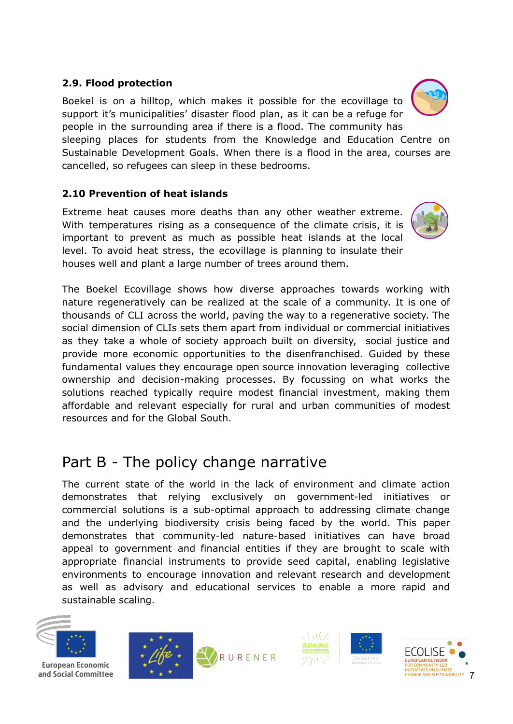### **2.9. Flood protection**

Boekel is on a hilltop, which makes it possible for the ecovillage to support it's municipalities' disaster flood plan, as it can be a refuge for people in the surrounding area if there is a flood. The community has sleeping places for students from the Knowledge and Education Centre on Sustainable Development Goals. When there is a flood in the area, courses are cancelled, so refugees can sleep in these bedrooms.

### **2.10 Prevention of heat islands**

Extreme heat causes more deaths than any other weather extreme. With temperatures rising as a consequence of the climate crisis, it is important to prevent as much as possible heat islands at the local level. To avoid heat stress, the ecovillage is planning to insulate their houses well and plant a large number of trees around them.

The Boekel Ecovillage shows how diverse approaches towards working with nature regeneratively can be realized at the scale of a community. It is one of thousands of CLI across the world, paving the way to a regenerative society. The social dimension of CLIs sets them apart from individual or commercial initiatives as they take a whole of society approach built on diversity, social justice and provide more economic opportunities to the disenfranchised. Guided by these fundamental values they encourage open source innovation leveraging collective ownership and decision-making processes. By focussing on what works the solutions reached typically require modest financial investment, making them affordable and relevant especially for rural and urban communities of modest resources and for the Global South.

# Part B - The policy change narrative

The current state of the world in the lack of environment and climate action demonstrates that relying exclusively on government-led initiatives or commercial solutions is a sub-optimal approach to addressing climate change and the underlying biodiversity crisis being faced by the world. This paper demonstrates that community-led nature-based initiatives can have broad appeal to government and financial entities if they are brought to scale with appropriate financial instruments to provide seed capital, enabling legislative environments to encourage innovation and relevant research and development as well as advisory and educational services to enable a more rapid and sustainable scaling.













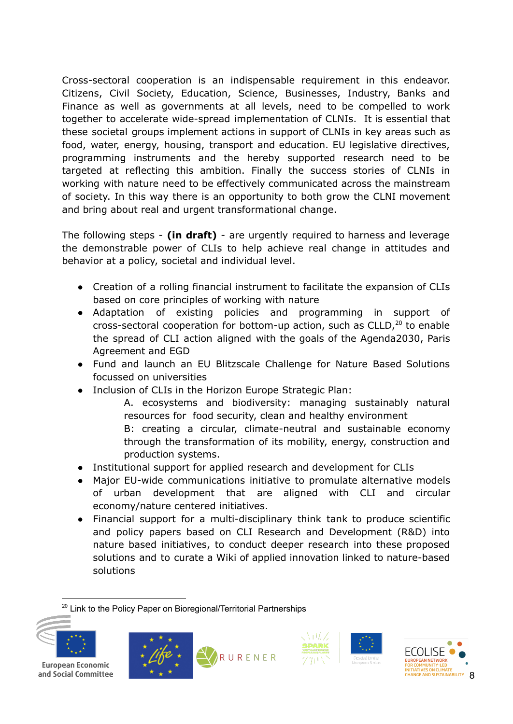Cross-sectoral cooperation is an indispensable requirement in this endeavor. Citizens, Civil Society, Education, Science, Businesses, Industry, Banks and Finance as well as governments at all levels, need to be compelled to work together to accelerate wide-spread implementation of CLNIs. It is essential that these societal groups implement actions in support of CLNIs in key areas such as food, water, energy, housing, transport and education. EU legislative directives, programming instruments and the hereby supported research need to be targeted at reflecting this ambition. Finally the success stories of CLNIs in working with nature need to be effectively communicated across the mainstream of society. In this way there is an opportunity to both grow the CLNI movement and bring about real and urgent transformational change.

The following steps - **(in draft)** - are urgently required to harness and leverage the demonstrable power of CLIs to help achieve real change in attitudes and behavior at a policy, societal and individual level.

- Creation of a rolling financial instrument to facilitate the expansion of CLIs based on core principles of working with nature
- Adaptation of existing policies and programming in support of cross-sectoral cooperation for bottom-up action, such as  $CLLD<sub>1</sub><sup>20</sup>$  to enable the spread of CLI action aligned with the goals of the Agenda2030, Paris Agreement and EGD
- Fund and launch an EU Blitzscale Challenge for Nature Based Solutions focussed on universities
- Inclusion of CLIs in the Horizon Europe Strategic Plan:

A. ecosystems and biodiversity: managing sustainably natural resources for food security, clean and healthy environment B: creating a circular, climate-neutral and sustainable economy through the transformation of its mobility, energy, construction and

- production systems. ● Institutional support for applied research and development for CLIs
- Major EU-wide communications initiative to promulate alternative models of urban development that are aligned with CLI and circular economy/nature centered initiatives.
- Financial support for a multi-disciplinary think tank to produce scientific and policy papers based on CLI Research and Development (R&D) into nature based initiatives, to conduct deeper research into these proposed solutions and to curate a Wiki of applied innovation linked to nature-based solutions

<sup>20</sup> Link to the Policy Paper on Bioregional/Territorial Partnerships











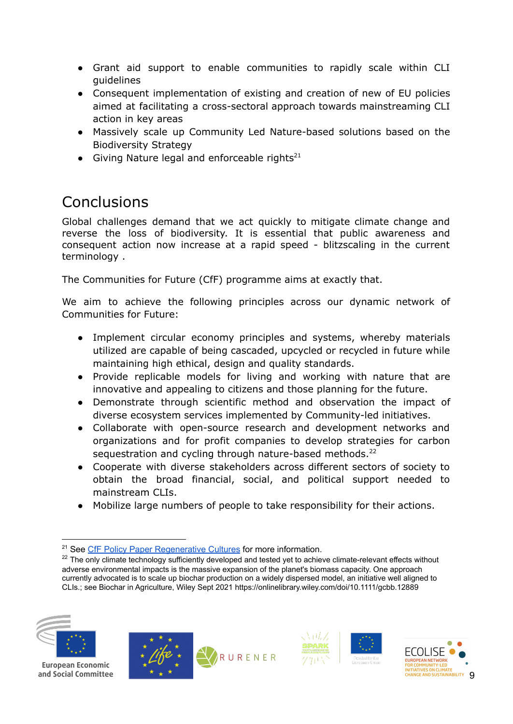- Grant aid support to enable communities to rapidly scale within CLI guidelines
- Consequent implementation of existing and creation of new of EU policies aimed at facilitating a cross-sectoral approach towards mainstreaming CLI action in key areas
- Massively scale up Community Led Nature-based solutions based on the Biodiversity Strategy
- Giving Nature legal and enforceable rights<sup>21</sup>

# Conclusions

Global challenges demand that we act quickly to mitigate climate change and reverse the loss of biodiversity. It is essential that public awareness and consequent action now increase at a rapid speed - blitzscaling in the current terminology .

The Communities for Future (CfF) programme aims at exactly that.

We aim to achieve the following principles across our dynamic network of Communities for Future:

- Implement circular economy principles and systems, whereby materials utilized are capable of being cascaded, upcycled or recycled in future while maintaining high ethical, design and quality standards.
- Provide replicable models for living and working with nature that are innovative and appealing to citizens and those planning for the future.
- Demonstrate through scientific method and observation the impact of diverse ecosystem services implemented by Community-led initiatives.
- Collaborate with open-source research and development networks and organizations and for profit companies to develop strategies for carbon sequestration and cycling through nature-based methods.<sup>22</sup>
- Cooperate with diverse stakeholders across different sectors of society to obtain the broad financial, social, and political support needed to mainstream CLIs.
- Mobilize large numbers of people to take responsibility for their actions.

<sup>&</sup>lt;sup>22</sup> The only climate technology sufficiently developed and tested yet to achieve climate-relevant effects without adverse environmental impacts is the massive expansion of the planet's biomass capacity. One approach currently advocated is to scale up biochar production on a widely dispersed model, an initiative well aligned to CLIs.; see Biochar in Agriculture, Wiley Sept 2021 https://onlinelibrary.wiley.com/doi/10.1111/gcbb.12889











<sup>&</sup>lt;sup>21</sup> See CfF Policy Paper [Regenerative](https://drive.google.com/file/d/1hYk-lNbMiXJc6tKYpFDnID8pjvMuj0T2/view) Cultures for more information.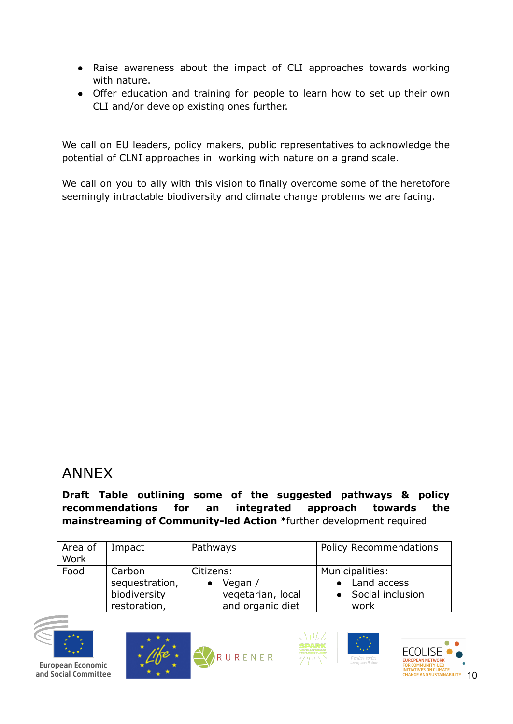- Raise awareness about the impact of CLI approaches towards working with nature.
- Offer education and training for people to learn how to set up their own CLI and/or develop existing ones further.

We call on EU leaders, policy makers, public representatives to acknowledge the potential of CLNI approaches in working with nature on a grand scale.

We call on you to ally with this vision to finally overcome some of the heretofore seemingly intractable biodiversity and climate change problems we are facing.

# ANNEX

**Draft Table outlining some of the suggested pathways & policy recommendations for an integrated approach towards the mainstreaming of Community-led Action** \*further development required

| Area of<br>Work | Impact         | Pathways          | <b>Policy Recommendations</b> |  |
|-----------------|----------------|-------------------|-------------------------------|--|
| Food            | Carbon         | Citizens:         | Municipalities:               |  |
|                 | sequestration, | Vegan /           | Land access                   |  |
|                 | biodiversity   | vegetarian, local | Social inclusion              |  |
|                 | restoration,   | and organic diet  | work                          |  |









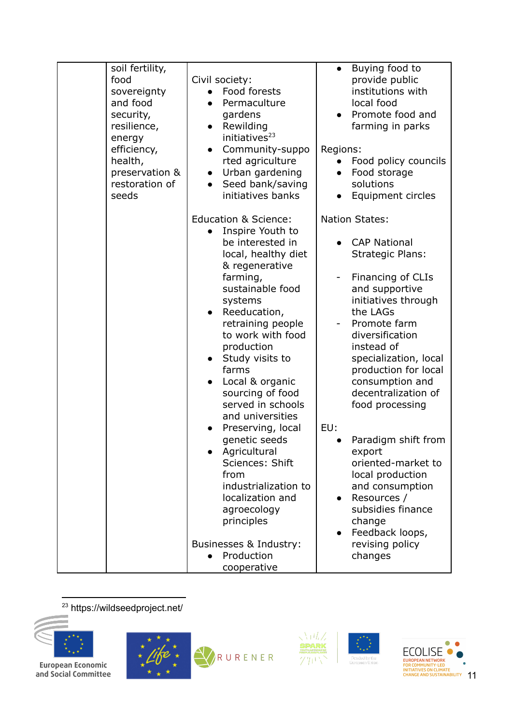| soil fertility,<br>food<br>sovereignty<br>and food<br>security,<br>resilience,<br>energy<br>efficiency,<br>health,<br>preservation &<br>restoration of<br>seeds | Civil society:<br>Food forests<br>Permaculture<br>gardens<br>Rewilding<br>$\bullet$<br>initiatives <sup>23</sup><br>Community-suppo<br>rted agriculture<br>Urban gardening<br>$\bullet$<br>Seed bank/saving<br>initiatives banks                                                                                                                                                                                                                                                                                                                                              | Buying food to<br>$\bullet$<br>provide public<br>institutions with<br>local food<br>Promote food and<br>farming in parks<br>Regions:<br>Food policy councils<br>Food storage<br>$\bullet$<br>solutions<br>Equipment circles                                                                                                                                                                                                                                                                                                                    |
|-----------------------------------------------------------------------------------------------------------------------------------------------------------------|-------------------------------------------------------------------------------------------------------------------------------------------------------------------------------------------------------------------------------------------------------------------------------------------------------------------------------------------------------------------------------------------------------------------------------------------------------------------------------------------------------------------------------------------------------------------------------|------------------------------------------------------------------------------------------------------------------------------------------------------------------------------------------------------------------------------------------------------------------------------------------------------------------------------------------------------------------------------------------------------------------------------------------------------------------------------------------------------------------------------------------------|
|                                                                                                                                                                 | <b>Education &amp; Science:</b><br>Inspire Youth to<br>be interested in<br>local, healthy diet<br>& regenerative<br>farming,<br>sustainable food<br>systems<br>Reeducation,<br>retraining people<br>to work with food<br>production<br>Study visits to<br>$\bullet$<br>farms<br>Local & organic<br>sourcing of food<br>served in schools<br>and universities<br>Preserving, local<br>genetic seeds<br>Agricultural<br>Sciences: Shift<br>from<br>industrialization to<br>localization and<br>agroecology<br>principles<br>Businesses & Industry:<br>Production<br>cooperative | <b>Nation States:</b><br><b>CAP National</b><br><b>Strategic Plans:</b><br>Financing of CLIs<br>and supportive<br>initiatives through<br>the LAGs<br>Promote farm<br>diversification<br>instead of<br>specialization, local<br>production for local<br>consumption and<br>decentralization of<br>food processing<br>EU:<br>Paradigm shift from<br>export<br>oriented-market to<br>local production<br>and consumption<br>Resources /<br>$\bullet$<br>subsidies finance<br>change<br>Feedback loops,<br>$\bullet$<br>revising policy<br>changes |

<sup>23</sup> https://wildseedproject.net/



**European Economic<br>and Social Committee** 



RURENER





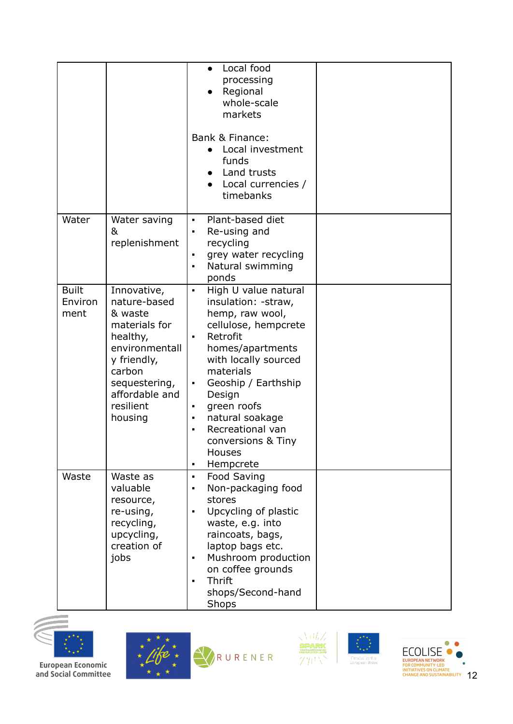|                                 |                                                                                                                                                                           | Local food<br>$\bullet$<br>processing<br>Regional<br>whole-scale<br>markets<br>Bank & Finance:<br>• Local investment<br>funds<br>Land trusts<br>Local currencies /<br>timebanks                                                                                                                                                                                       |  |
|---------------------------------|---------------------------------------------------------------------------------------------------------------------------------------------------------------------------|-----------------------------------------------------------------------------------------------------------------------------------------------------------------------------------------------------------------------------------------------------------------------------------------------------------------------------------------------------------------------|--|
| Water                           | Water saving<br>&<br>replenishment                                                                                                                                        | Plant-based diet<br>$\blacksquare$<br>Re-using and<br>٠<br>recycling<br>grey water recycling<br>$\blacksquare$<br>Natural swimming<br>٠<br>ponds                                                                                                                                                                                                                      |  |
| <b>Built</b><br>Environ<br>ment | Innovative,<br>nature-based<br>& waste<br>materials for<br>healthy,<br>environmentall<br>y friendly,<br>carbon<br>sequestering,<br>affordable and<br>resilient<br>housing | High U value natural<br>$\blacksquare$<br>insulation: - straw,<br>hemp, raw wool,<br>cellulose, hempcrete<br>Retrofit<br>homes/apartments<br>with locally sourced<br>materials<br>Geoship / Earthship<br>٠<br>Design<br>green roofs<br>٠<br>natural soakage<br>٠<br>Recreational van<br>$\blacksquare$<br>conversions & Tiny<br>Houses<br>Hempcrete<br>$\blacksquare$ |  |
| Waste                           | Waste as<br>valuable<br>resource,<br>re-using,<br>recycling,<br>upcycling,<br>creation of<br>jobs                                                                         | Food Saving<br>$\blacksquare$<br>Non-packaging food<br>٠<br>stores<br>Upcycling of plastic<br>٠<br>waste, e.g. into<br>raincoats, bags,<br>laptop bags etc.<br>Mushroom production<br>٠<br>on coffee grounds<br><b>Thrift</b><br>$\blacksquare$<br>shops/Second-hand<br>Shops                                                                                         |  |











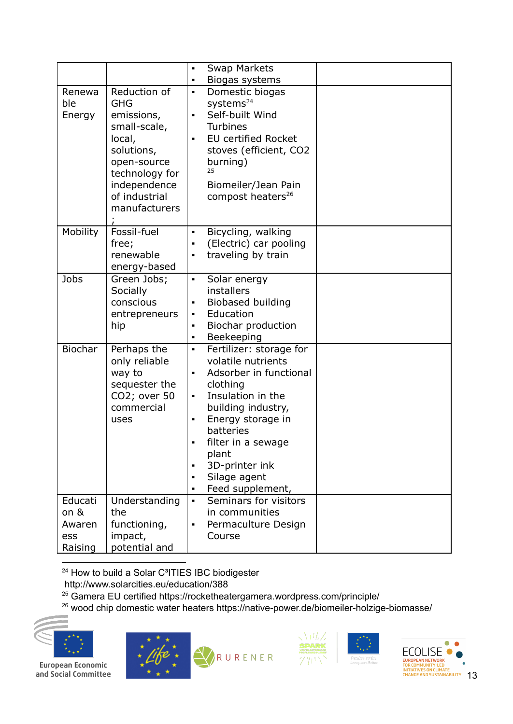|                                             |                                                                                                                                                                     | <b>Swap Markets</b><br>$\blacksquare$                                                                                                                                                                                                                                                                       |
|---------------------------------------------|---------------------------------------------------------------------------------------------------------------------------------------------------------------------|-------------------------------------------------------------------------------------------------------------------------------------------------------------------------------------------------------------------------------------------------------------------------------------------------------------|
|                                             |                                                                                                                                                                     | Biogas systems<br>$\blacksquare$                                                                                                                                                                                                                                                                            |
| Renewa<br>ble<br>Energy                     | Reduction of<br><b>GHG</b><br>emissions,<br>small-scale,<br>local,<br>solutions,<br>open-source<br>technology for<br>independence<br>of industrial<br>manufacturers | Domestic biogas<br>systems <sup>24</sup><br>Self-built Wind<br>$\blacksquare$<br><b>Turbines</b><br><b>EU certified Rocket</b><br>stoves (efficient, CO2<br>burning)<br>25<br>Biomeiler/Jean Pain<br>compost heaters <sup>26</sup>                                                                          |
| <b>Mobility</b>                             | Fossil-fuel<br>free;<br>renewable<br>energy-based                                                                                                                   | Bicycling, walking<br>$\blacksquare$<br>(Electric) car pooling<br>$\blacksquare$<br>traveling by train<br>$\blacksquare$                                                                                                                                                                                    |
| Jobs                                        | Green Jobs;<br>Socially<br>conscious<br>entrepreneurs<br>hip                                                                                                        | Solar energy<br>$\blacksquare$<br>installers<br>Biobased building<br>Education<br>Biochar production<br>Beekeeping<br>$\blacksquare$                                                                                                                                                                        |
| <b>Biochar</b>                              | Perhaps the<br>only reliable<br>way to<br>sequester the<br>CO2; over 50<br>commercial<br>uses                                                                       | Fertilizer: storage for<br>$\blacksquare$<br>volatile nutrients<br>Adsorber in functional<br>$\blacksquare$<br>clothing<br>Insulation in the<br>building industry,<br>Energy storage in<br>$\blacksquare$<br>batteries<br>filter in a sewage<br>plant<br>3D-printer ink<br>Silage agent<br>Feed supplement, |
| Educati<br>on &<br>Awaren<br>ess<br>Raising | Understanding<br>the<br>functioning,<br>impact,<br>potential and                                                                                                    | Seminars for visitors<br>$\blacksquare$<br>in communities<br>Permaculture Design<br>$\blacksquare$<br>Course                                                                                                                                                                                                |

<sup>24</sup> How to build a Solar C<sup>3</sup>ITIES IBC biodigester

- <http://www.solarcities.eu/education/388>
- $25$  Gamera EU certified https://rocketheatergamera.wordpress.com/principle/
- $^{26}$  wood chip domestic water heaters https://native-power.de/biomeiler-holzige-biomasse/



European Economic and Social Committee